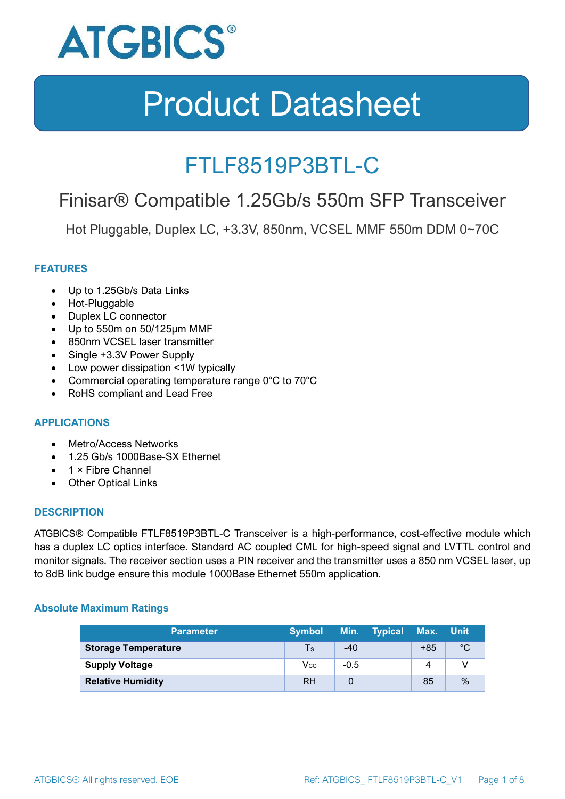

### FTLF8519P3BTL-C

### Finisar® Compatible 1.25Gb/s 550m SFP Transceiver

Hot Pluggable, Duplex LC, +3.3V, 850nm, VCSEL MMF 550m DDM 0~70C

#### **FEATURES**

- Up to 1.25Gb/s Data Links
- Hot-Pluggable
- Duplex LC connector
- Up to 550m on 50/125μm MMF
- 850nm VCSEL laser transmitter
- Single +3.3V Power Supply
- Low power dissipation <1W typically
- Commercial operating temperature range 0°C to 70°C
- RoHS compliant and Lead Free

#### **APPLICATIONS**

- Metro/Access Networks
- 1.25 Gb/s 1000Base-SX Ethernet
- 1 × Fibre Channel
- Other Optical Links

#### **DESCRIPTION**

ATGBICS® Compatible FTLF8519P3BTL-C Transceiver is a high-performance, cost-effective module which has a duplex LC optics interface. Standard AC coupled CML for high-speed signal and LVTTL control and monitor signals. The receiver section uses a PIN receiver and the transmitter uses a 850 nm VCSEL laser, up to 8dB link budge ensure this module 1000Base Ethernet 550m application.

#### **Absolute Maximum Ratings**

| <b>Parameter</b>           | <b>Symbol</b> |        | Min. Typical | Max. Unit |      |
|----------------------------|---------------|--------|--------------|-----------|------|
| <b>Storage Temperature</b> | Ts            | $-40$  |              | $+85$     | °C   |
| <b>Supply Voltage</b>      | Vcc           | $-0.5$ |              | 4         |      |
| <b>Relative Humidity</b>   | <b>RH</b>     |        |              | 85        | $\%$ |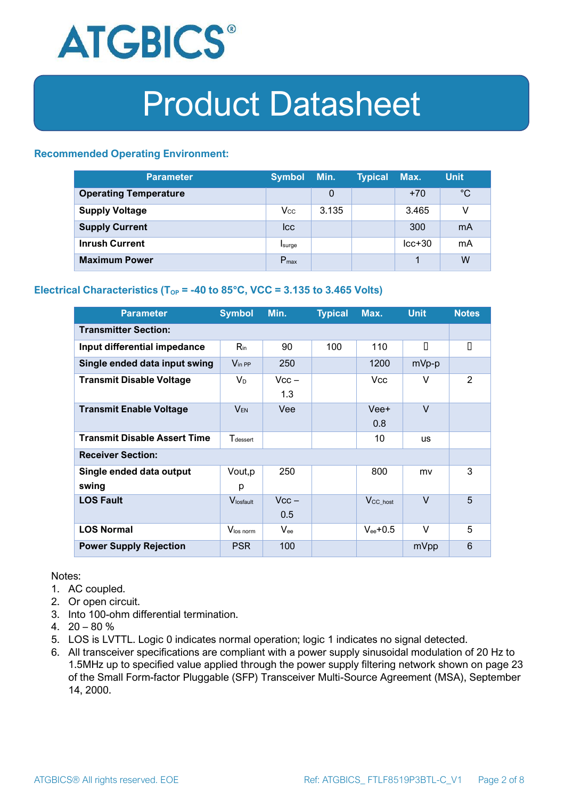

#### **Recommended Operating Environment:**

| <b>Parameter</b>             | <b>Symbol</b>    | Min.  | <b>Typical</b> | Max.     | <b>Unit</b> |
|------------------------------|------------------|-------|----------------|----------|-------------|
| <b>Operating Temperature</b> |                  | 0     |                | $+70$    | $^{\circ}C$ |
| <b>Supply Voltage</b>        | $V_{\rm CC}$     | 3.135 |                | 3.465    | v           |
| <b>Supply Current</b>        | <b>I</b> cc      |       |                | 300      | mA          |
| <b>Inrush Current</b>        | Isurge           |       |                | $lcc+30$ | mA          |
| <b>Maximum Power</b>         | $P_{\text{max}}$ |       |                |          | W           |

#### **Electrical Characteristics** ( $T_{OP}$  = -40 to 85°C, VCC = 3.135 to 3.465 Volts)

| <b>Parameter</b>                    | <b>Symbol</b>               | Min.           | <b>Typical</b> | Max.                  | <b>Unit</b> | <b>Notes</b> |
|-------------------------------------|-----------------------------|----------------|----------------|-----------------------|-------------|--------------|
| <b>Transmitter Section:</b>         |                             |                |                |                       |             |              |
| Input differential impedance        | $R_{\rm in}$                | 90             | 100            | 110                   | П           | О            |
| Single ended data input swing       | $V_{\text{in PP}}$          | 250            |                | 1200                  | mVp-p       |              |
| <b>Transmit Disable Voltage</b>     | $V_D$                       | $Vcc -$<br>1.3 |                | Vcc                   | V           | 2            |
| <b>Transmit Enable Voltage</b>      | $V_{EN}$                    | Vee            |                | Vee+<br>0.8           | $\vee$      |              |
| <b>Transmit Disable Assert Time</b> | <b>T</b> <sub>dessert</sub> |                |                | 10                    | <b>US</b>   |              |
| <b>Receiver Section:</b>            |                             |                |                |                       |             |              |
| Single ended data output<br>swing   | Vout, p<br>р                | 250            |                | 800                   | mv          | 3            |
| <b>LOS Fault</b>                    | Vlosfault                   | $Vcc -$<br>0.5 |                | $V_{\text{CC\_host}}$ | $\vee$      | 5            |
| <b>LOS Normal</b>                   | Vlos norm                   | $V_{\rm ee}$   |                | $V_{ee}$ +0.5         | V           | 5            |
| <b>Power Supply Rejection</b>       | <b>PSR</b>                  | 100            |                |                       | mVpp        | 6            |

Notes:

- 1. AC coupled.
- 2. Or open circuit.
- 3. Into 100-ohm differential termination.
- 4.  $20 80 \%$
- 5. LOS is LVTTL. Logic 0 indicates normal operation; logic 1 indicates no signal detected.
- 6. All transceiver specifications are compliant with a power supply sinusoidal modulation of 20 Hz to 1.5MHz up to specified value applied through the power supply filtering network shown on page 23 of the Small Form-factor Pluggable (SFP) Transceiver Multi-Source Agreement (MSA), September 14, 2000.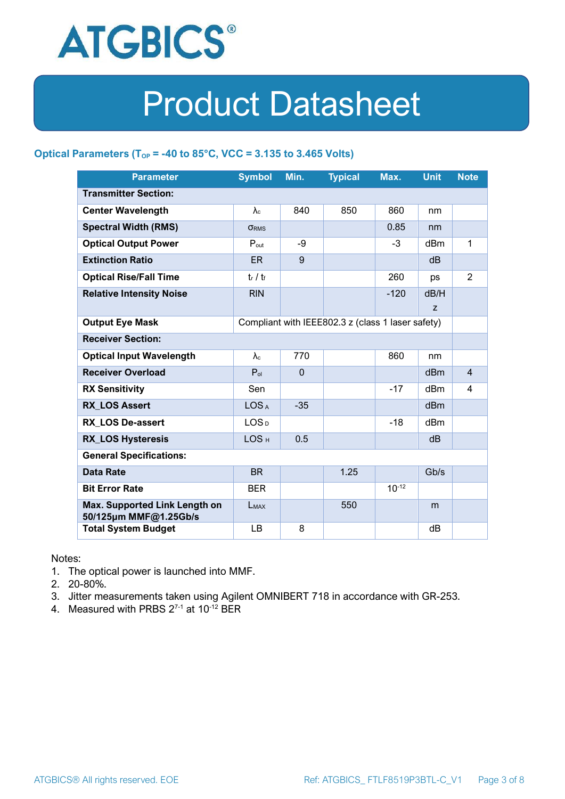

#### **Optical Parameters** ( $T_{OP}$  = -40 to 85°C, VCC = 3.135 to 3.465 Volts)

| <b>Parameter</b>                                                            | <b>Symbol</b>     | Min.         | <b>Typical</b> | Max.       | <b>Unit</b>     | <b>Note</b>    |
|-----------------------------------------------------------------------------|-------------------|--------------|----------------|------------|-----------------|----------------|
| <b>Transmitter Section:</b>                                                 |                   |              |                |            |                 |                |
| <b>Center Wavelength</b>                                                    | $\lambda_c$       | 840          | 850            | 860        | nm              |                |
| <b>Spectral Width (RMS)</b>                                                 | <b>ORMS</b>       |              |                | 0.85       | nm              |                |
| <b>Optical Output Power</b>                                                 | $P_{\text{out}}$  | -9           |                | $-3$       | dBm             | 1              |
| <b>Extinction Ratio</b>                                                     | <b>ER</b>         | 9            |                |            | dB              |                |
| <b>Optical Rise/Fall Time</b>                                               | $t_r / t_f$       |              |                | 260        | ps              | $\overline{2}$ |
| <b>Relative Intensity Noise</b>                                             | <b>RIN</b>        |              |                | $-120$     | dB/H            |                |
|                                                                             |                   |              |                |            | Z               |                |
| <b>Output Eye Mask</b><br>Compliant with IEEE802.3 z (class 1 laser safety) |                   |              |                |            |                 |                |
| <b>Receiver Section:</b>                                                    |                   |              |                |            |                 |                |
| <b>Optical Input Wavelength</b>                                             | $\lambda_{\rm c}$ | 770          |                | 860        | nm              |                |
| <b>Receiver Overload</b>                                                    | $P_{ol}$          | $\mathbf{0}$ |                |            | dBm             | $\overline{4}$ |
| <b>RX Sensitivity</b>                                                       | Sen               |              |                | $-17$      | dBm             | 4              |
| <b>RX LOS Assert</b>                                                        | LOS <sub>A</sub>  | $-35$        |                |            | d <sub>Bm</sub> |                |
| <b>RX LOS De-assert</b>                                                     | LOS <sub>D</sub>  |              |                | $-18$      | dB <sub>m</sub> |                |
| <b>RX_LOS Hysteresis</b>                                                    | LOS <sub>H</sub>  | 0.5          |                |            | d <sub>B</sub>  |                |
| <b>General Specifications:</b>                                              |                   |              |                |            |                 |                |
| <b>Data Rate</b>                                                            | <b>BR</b>         |              | 1.25           |            | Gb/s            |                |
| <b>Bit Error Rate</b>                                                       | <b>BER</b>        |              |                | $10^{-12}$ |                 |                |
| Max. Supported Link Length on<br>50/125µm MMF@1.25Gb/s                      | LMAX              |              | 550            |            | m               |                |
| <b>Total System Budget</b>                                                  | LB                | 8            |                |            | dB              |                |

Notes:

- 1. The optical power is launched into MMF.
- 2. 20-80%.
- 3. Jitter measurements taken using Agilent OMNIBERT 718 in accordance with GR-253.
- 4. Measured with PRBS  $2^{7-1}$  at 10<sup>-12</sup> BER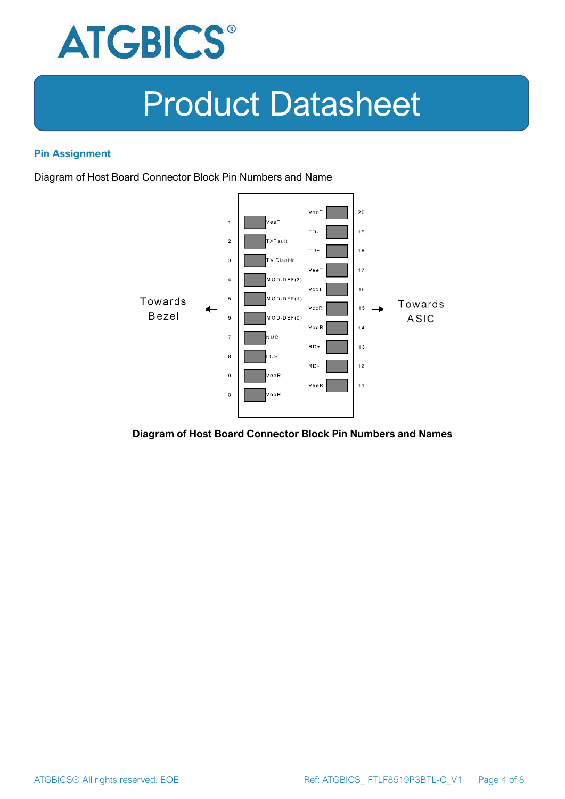

#### **Pin Assignment**

Diagram of Host Board Connector Block Pin Numbers and Name



#### **Diagram of Host Board Connector Block Pin Numbers and Names**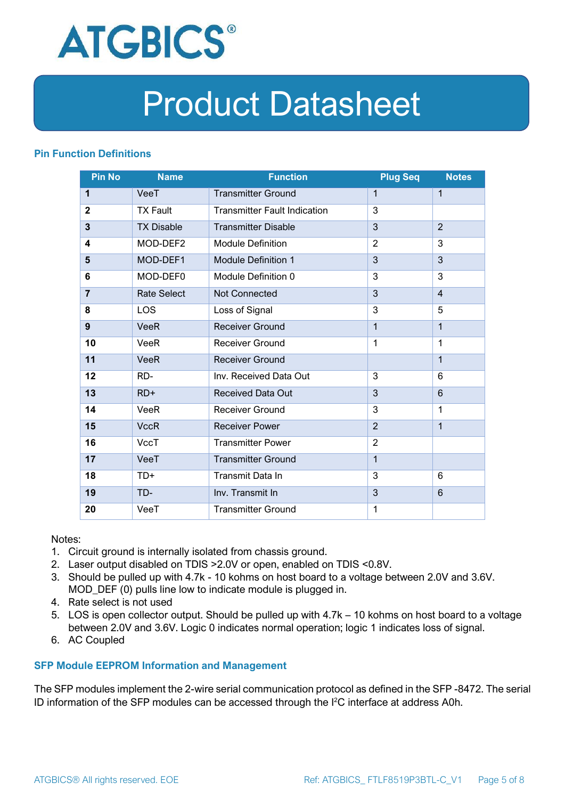

#### **Pin Function Definitions**

| <b>Pin No</b>           | <b>Name</b>        | <b>Function</b>                     | <b>Plug Seq</b> | <b>Notes</b>   |
|-------------------------|--------------------|-------------------------------------|-----------------|----------------|
| 1                       | VeeT               | <b>Transmitter Ground</b>           | 1               | 1              |
| $\mathbf{2}$            | <b>TX Fault</b>    | <b>Transmitter Fault Indication</b> | 3               |                |
| $\overline{\mathbf{3}}$ | <b>TX Disable</b>  | <b>Transmitter Disable</b>          | 3               | $\overline{2}$ |
| 4                       | MOD-DEF2           | <b>Module Definition</b>            | $\overline{2}$  | 3              |
| 5                       | MOD-DEF1           | <b>Module Definition 1</b>          | 3               | 3              |
| 6                       | MOD-DEF0           | Module Definition 0                 | 3               | 3              |
| $\overline{7}$          | <b>Rate Select</b> | Not Connected                       | 3               | $\overline{4}$ |
| 8                       | <b>LOS</b>         | Loss of Signal                      | 3               | 5              |
| 9                       | <b>VeeR</b>        | <b>Receiver Ground</b>              | $\mathbf 1$     | 1              |
| 10                      | <b>VeeR</b>        | Receiver Ground                     | $\mathbf{1}$    | 1              |
| 11                      | <b>VeeR</b>        | <b>Receiver Ground</b>              |                 | $\mathbf 1$    |
| 12                      | RD-                | Inv. Received Data Out              | 3               | 6              |
| 13                      | $RD+$              | <b>Received Data Out</b>            | 3               | 6              |
| 14                      | <b>VeeR</b>        | <b>Receiver Ground</b>              | 3               | 1              |
| 15                      | <b>VccR</b>        | <b>Receiver Power</b>               | $\overline{2}$  | $\mathbf{1}$   |
| 16                      | <b>VccT</b>        | <b>Transmitter Power</b>            | $\overline{2}$  |                |
| 17                      | VeeT               | <b>Transmitter Ground</b>           | $\mathbf{1}$    |                |
| 18                      | TD+                | Transmit Data In                    | 3               | 6              |
| 19                      | TD-                | Inv. Transmit In                    | 3               | 6              |
| 20                      | VeeT               | <b>Transmitter Ground</b>           | 1               |                |

Notes:

- 1. Circuit ground is internally isolated from chassis ground.
- 2. Laser output disabled on TDIS >2.0V or open, enabled on TDIS <0.8V.
- 3. Should be pulled up with 4.7k 10 kohms on host board to a voltage between 2.0V and 3.6V. MOD\_DEF (0) pulls line low to indicate module is plugged in.
- 4. Rate select is not used
- 5. LOS is open collector output. Should be pulled up with 4.7k 10 kohms on host board to a voltage between 2.0V and 3.6V. Logic 0 indicates normal operation; logic 1 indicates loss of signal.
- 6. AC Coupled

#### **SFP Module EEPROM Information and Management**

The SFP modules implement the 2-wire serial communication protocol as defined in the SFP -8472. The serial ID information of the SFP modules can be accessed through the I2C interface at address A0h.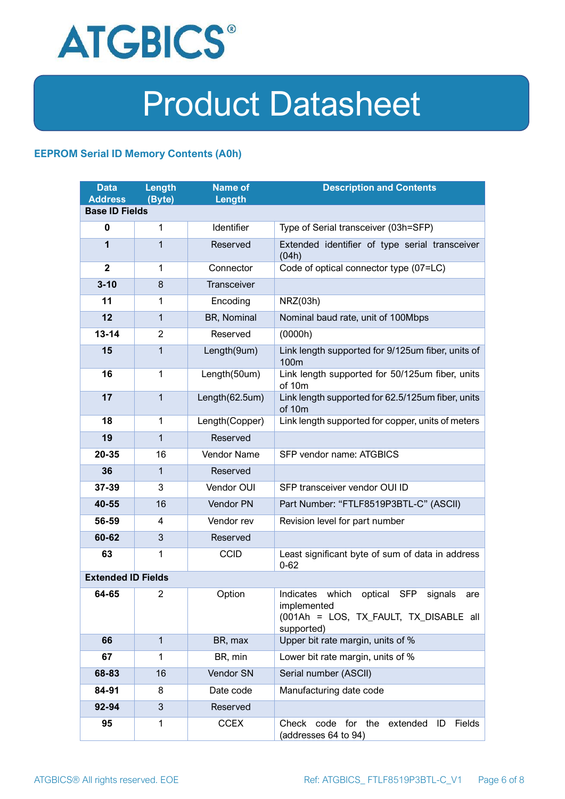

#### **EEPROM Serial ID Memory Contents (A0h)**

| <b>Data</b><br><b>Address</b> | <b>Length</b><br>(Byte) | <b>Name of</b><br>Length | <b>Description and Contents</b>                                                                                         |  |  |
|-------------------------------|-------------------------|--------------------------|-------------------------------------------------------------------------------------------------------------------------|--|--|
| <b>Base ID Fields</b>         |                         |                          |                                                                                                                         |  |  |
| $\mathbf 0$                   | 1                       | Identifier               | Type of Serial transceiver (03h=SFP)                                                                                    |  |  |
| 1                             | 1                       | Reserved                 | Extended identifier of type serial transceiver<br>(04h)                                                                 |  |  |
| $\overline{2}$                | 1                       | Connector                | Code of optical connector type (07=LC)                                                                                  |  |  |
| $3 - 10$                      | 8                       | <b>Transceiver</b>       |                                                                                                                         |  |  |
| 11                            | 1                       | Encoding                 | NRZ(03h)                                                                                                                |  |  |
| 12                            | $\mathbf{1}$            | BR, Nominal              | Nominal baud rate, unit of 100Mbps                                                                                      |  |  |
| $13 - 14$                     | $\overline{2}$          | Reserved                 | (0000h)                                                                                                                 |  |  |
| 15                            | 1                       | Length(9um)              | Link length supported for 9/125um fiber, units of<br>100 <sub>m</sub>                                                   |  |  |
| 16                            | $\mathbf 1$             | Length(50um)             | Link length supported for 50/125um fiber, units<br>of 10m                                                               |  |  |
| 17                            | $\mathbf{1}$            | Length(62.5um)           | Link length supported for 62.5/125um fiber, units<br>of 10m                                                             |  |  |
| 18                            | $\mathbf{1}$            | Length(Copper)           | Link length supported for copper, units of meters                                                                       |  |  |
| 19                            | 1                       | Reserved                 |                                                                                                                         |  |  |
| 20-35                         | 16                      | Vendor Name              | SFP vendor name: ATGBICS                                                                                                |  |  |
| 36                            | 1                       | Reserved                 |                                                                                                                         |  |  |
| 37-39                         | 3                       | Vendor OUI               | SFP transceiver vendor OUI ID                                                                                           |  |  |
| 40-55                         | 16                      | Vendor PN                | Part Number: "FTLF8519P3BTL-C" (ASCII)                                                                                  |  |  |
| 56-59                         | 4                       | Vendor rev               | Revision level for part number                                                                                          |  |  |
| 60-62                         | 3                       | Reserved                 |                                                                                                                         |  |  |
| 63                            | 1                       | <b>CCID</b>              | Least significant byte of sum of data in address<br>$0 - 62$                                                            |  |  |
| <b>Extended ID Fields</b>     |                         |                          |                                                                                                                         |  |  |
| 64-65                         | 2                       | Option                   | Indicates which<br>optical SFP<br>signals<br>are<br>implemented<br>(001Ah = LOS, TX FAULT, TX DISABLE all<br>supported) |  |  |
| 66                            | $\mathbf{1}$            | BR, max                  | Upper bit rate margin, units of %                                                                                       |  |  |
| 67                            | 1                       | BR, min                  | Lower bit rate margin, units of %                                                                                       |  |  |
| 68-83                         | 16                      | Vendor SN                | Serial number (ASCII)                                                                                                   |  |  |
| 84-91                         | 8                       | Date code                | Manufacturing date code                                                                                                 |  |  |
| 92-94                         | 3                       | Reserved                 |                                                                                                                         |  |  |
| 95                            | 1                       | <b>CCEX</b>              | Check code for the<br>Fields<br>extended<br>ID<br>(addresses 64 to 94)                                                  |  |  |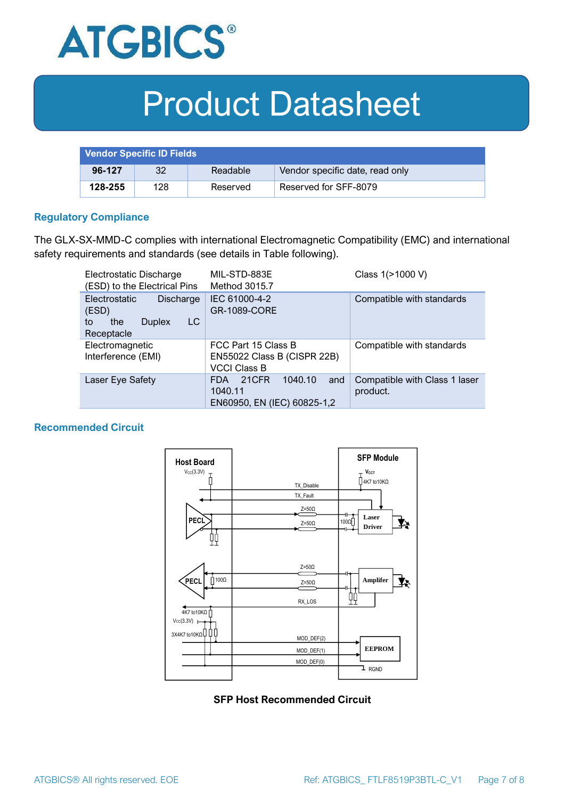

| <b>Vendor Specific ID Fields</b> |     |          |                                 |
|----------------------------------|-----|----------|---------------------------------|
| 96-127                           | 32  | Readable | Vendor specific date, read only |
| 128-255                          | 128 | Reserved | Reserved for SFF-8079           |

#### **Regulatory Compliance**

The GLX-SX-MMD-C complies with international Electromagnetic Compatibility (EMC) and international safety requirements and standards (see details in Table following).

| Electrostatic Discharge<br>(ESD) to the Electrical Pins                                      | MIL-STD-883E<br>Method 3015.7                                                   | Class 1(>1000 V)                          |  |
|----------------------------------------------------------------------------------------------|---------------------------------------------------------------------------------|-------------------------------------------|--|
| <b>Electrostatic</b><br>Discharge<br>(ESD)<br>LC<br>the<br><b>Duplex</b><br>to<br>Receptacle | IEC 61000-4-2<br><b>GR-1089-CORE</b>                                            | Compatible with standards                 |  |
| Electromagnetic<br>Interference (EMI)                                                        | FCC Part 15 Class B<br>EN55022 Class B (CISPR 22B)<br><b>VCCI Class B</b>       | Compatible with standards                 |  |
| Laser Eye Safety                                                                             | 1040.10<br>21CFR<br>and<br><b>FDA</b><br>1040.11<br>EN60950, EN (IEC) 60825-1,2 | Compatible with Class 1 laser<br>product. |  |

#### **Recommended Circuit**



#### **SFP Host Recommended Circuit**